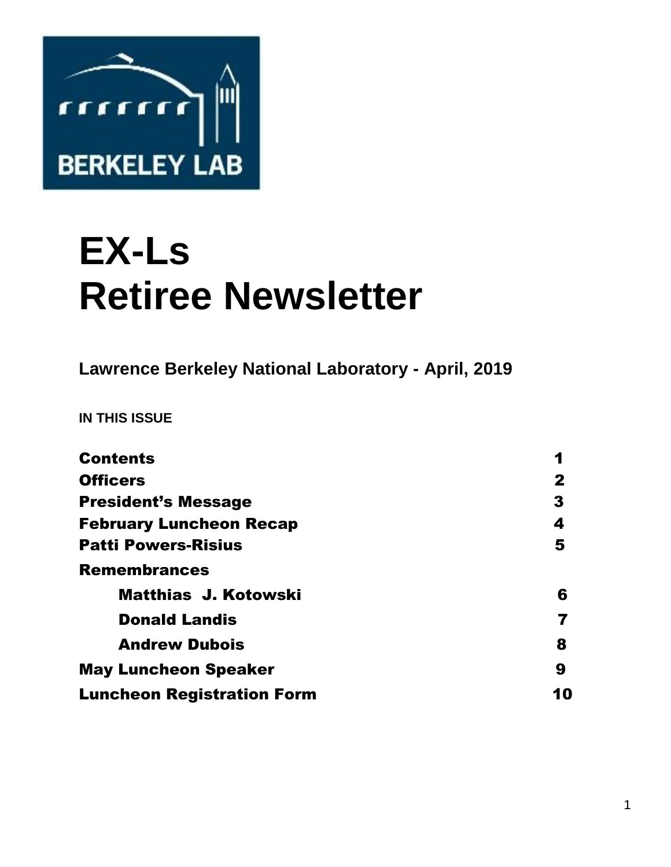

# **EX-Ls Retiree Newsletter**

**Lawrence Berkeley National Laboratory - April, 2019** 

**IN THIS ISSUE** 

| <b>Contents</b>                   | 1  |
|-----------------------------------|----|
| <b>Officers</b>                   | 2  |
| <b>President's Message</b>        | 3  |
| <b>February Luncheon Recap</b>    | 4  |
| <b>Patti Powers-Risius</b>        | 5  |
| <b>Remembrances</b>               |    |
| <b>Matthias J. Kotowski</b>       | 6  |
| <b>Donald Landis</b>              |    |
| <b>Andrew Dubois</b>              | 8  |
| <b>May Luncheon Speaker</b>       | 9  |
| <b>Luncheon Registration Form</b> | 10 |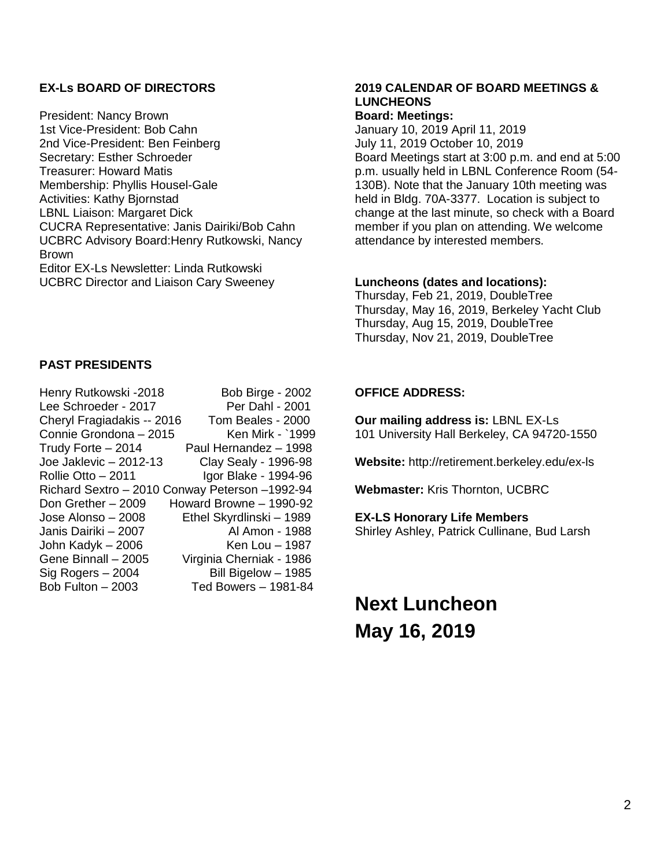### **EX-Ls BOARD OF DIRECTORS**

President: Nancy Brown 1st Vice-President: Bob Cahn 2nd Vice-President: Ben Feinberg Secretary: Esther Schroeder Treasurer: Howard Matis Membership: Phyllis Housel-Gale Activities: Kathy Bjornstad LBNL Liaison: Margaret Dick CUCRA Representative: Janis Dairiki/Bob Cahn UCBRC Advisory Board:Henry Rutkowski, Nancy Brown Editor EX-Ls Newsletter: Linda Rutkowski UCBRC Director and Liaison Cary Sweeney

#### **PAST PRESIDENTS**

| Henry Rutkowski -2018                          | <b>Bob Birge - 2002</b>     |
|------------------------------------------------|-----------------------------|
| Lee Schroeder - 2017                           | Per Dahl - 2001             |
| Cheryl Fragiadakis -- 2016                     | Tom Beales - 2000           |
| Connie Grondona - 2015                         | Ken Mirk - `1999            |
| Trudy Forte - 2014                             | Paul Hernandez - 1998       |
| Joe Jaklevic - 2012-13                         | <b>Clay Sealy - 1996-98</b> |
| Rollie Otto - 2011                             | Igor Blake - 1994-96        |
| Richard Sextro - 2010 Conway Peterson -1992-94 |                             |
| Don Grether - 2009                             | Howard Browne - 1990-92     |
| Jose Alonso - 2008                             | Ethel Skyrdlinski - 1989    |
| Janis Dairiki - 2007                           | Al Amon - 1988              |
| John Kadyk - 2006                              | Ken Lou - 1987              |
| Gene Binnall - 2005                            | Virginia Cherniak - 1986    |
| Sig Rogers - 2004                              | Bill Bigelow - 1985         |
| Bob Fulton - 2003                              | Ted Bowers - 1981-84        |
|                                                |                             |

## **2019 CALENDAR OF BOARD MEETINGS & LUNCHEONS**

## **Board: Meetings:**

January 10, 2019 April 11, 2019 July 11, 2019 October 10, 2019 Board Meetings start at 3:00 p.m. and end at 5:00 p.m. usually held in LBNL Conference Room (54- 130B). Note that the January 10th meeting was held in Bldg. 70A-3377. Location is subject to change at the last minute, so check with a Board member if you plan on attending. We welcome attendance by interested members.

#### **Luncheons (dates and locations):**

Thursday, Feb 21, 2019, DoubleTree Thursday, May 16, 2019, Berkeley Yacht Club Thursday, Aug 15, 2019, DoubleTree Thursday, Nov 21, 2019, DoubleTree

#### **OFFICE ADDRESS:**

**Our mailing address is:** LBNL EX-Ls 101 University Hall Berkeley, CA 94720-1550

**Website:** http://retirement.berkeley.edu/ex-ls

**Webmaster:** Kris Thornton, UCBRC

#### **EX-LS Honorary Life Members**

Shirley Ashley, Patrick Cullinane, Bud Larsh

**Next Luncheon May 16, 2019**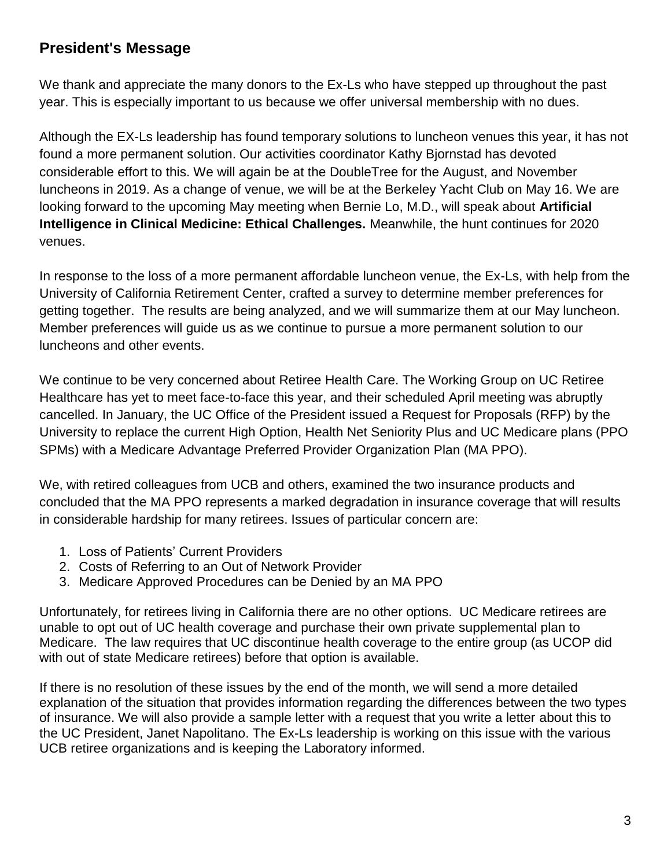# **President's Message**

We thank and appreciate the many donors to the Ex-Ls who have stepped up throughout the past year. This is especially important to us because we offer universal membership with no dues.

Although the EX-Ls leadership has found temporary solutions to luncheon venues this year, it has not found a more permanent solution. Our activities coordinator Kathy Bjornstad has devoted considerable effort to this. We will again be at the DoubleTree for the August, and November luncheons in 2019. As a change of venue, we will be at the Berkeley Yacht Club on May 16. We are looking forward to the upcoming May meeting when Bernie Lo, M.D., will speak about **Artificial Intelligence in Clinical Medicine: Ethical Challenges.** Meanwhile, the hunt continues for 2020 venues.

In response to the loss of a more permanent affordable luncheon venue, the Ex-Ls, with help from the University of California Retirement Center, crafted a survey to determine member preferences for getting together. The results are being analyzed, and we will summarize them at our May luncheon. Member preferences will guide us as we continue to pursue a more permanent solution to our luncheons and other events.

We continue to be very concerned about Retiree Health Care. The Working Group on UC Retiree Healthcare has yet to meet face-to-face this year, and their scheduled April meeting was abruptly cancelled. In January, the UC Office of the President issued a Request for Proposals (RFP) by the University to replace the current High Option, Health Net Seniority Plus and UC Medicare plans (PPO SPMs) with a Medicare Advantage Preferred Provider Organization Plan (MA PPO).

We, with retired colleagues from UCB and others, examined the two insurance products and concluded that the MA PPO represents a marked degradation in insurance coverage that will results in considerable hardship for many retirees. Issues of particular concern are:

- 1. Loss of Patients' Current Providers
- 2. Costs of Referring to an Out of Network Provider
- 3. Medicare Approved Procedures can be Denied by an MA PPO

Unfortunately, for retirees living in California there are no other options. UC Medicare retirees are unable to opt out of UC health coverage and purchase their own private supplemental plan to Medicare. The law requires that UC discontinue health coverage to the entire group (as UCOP did with out of state Medicare retirees) before that option is available.

If there is no resolution of these issues by the end of the month, we will send a more detailed explanation of the situation that provides information regarding the differences between the two types of insurance. We will also provide a sample letter with a request that you write a letter about this to the UC President, Janet Napolitano. The Ex-Ls leadership is working on this issue with the various UCB retiree organizations and is keeping the Laboratory informed.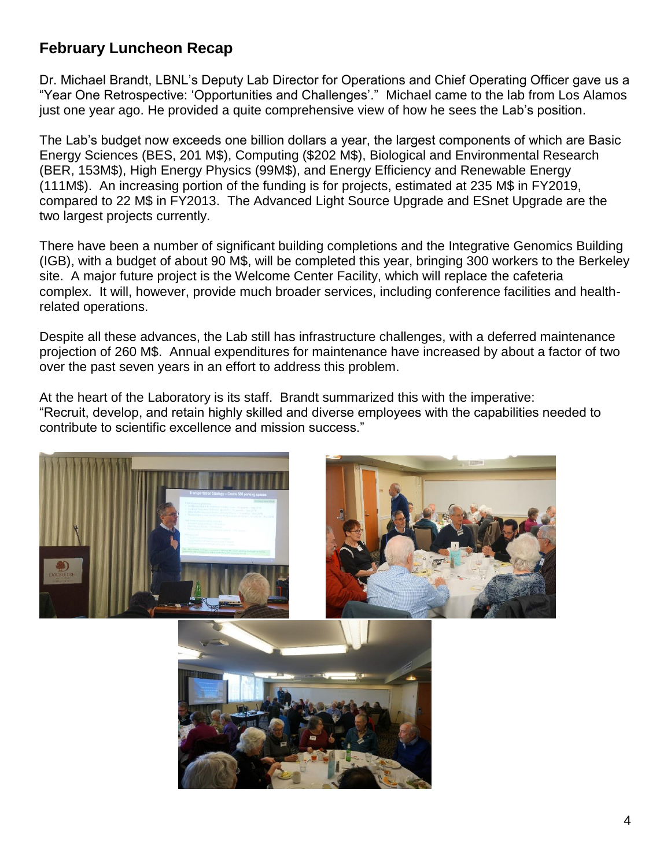# **February Luncheon Recap**

Dr. Michael Brandt, LBNL's Deputy Lab Director for Operations and Chief Operating Officer gave us a "Year One Retrospective: 'Opportunities and Challenges'." Michael came to the lab from Los Alamos just one year ago. He provided a quite comprehensive view of how he sees the Lab's position.

The Lab's budget now exceeds one billion dollars a year, the largest components of which are Basic Energy Sciences (BES, 201 M\$), Computing (\$202 M\$), Biological and Environmental Research (BER, 153M\$), High Energy Physics (99M\$), and Energy Efficiency and Renewable Energy (111M\$). An increasing portion of the funding is for projects, estimated at 235 M\$ in FY2019, compared to 22 M\$ in FY2013. The Advanced Light Source Upgrade and ESnet Upgrade are the two largest projects currently.

There have been a number of significant building completions and the Integrative Genomics Building (IGB), with a budget of about 90 M\$, will be completed this year, bringing 300 workers to the Berkeley site. A major future project is the Welcome Center Facility, which will replace the cafeteria complex. It will, however, provide much broader services, including conference facilities and healthrelated operations.

Despite all these advances, the Lab still has infrastructure challenges, with a deferred maintenance projection of 260 M\$. Annual expenditures for maintenance have increased by about a factor of two over the past seven years in an effort to address this problem.

At the heart of the Laboratory is its staff. Brandt summarized this with the imperative: "Recruit, develop, and retain highly skilled and diverse employees with the capabilities needed to contribute to scientific excellence and mission success."





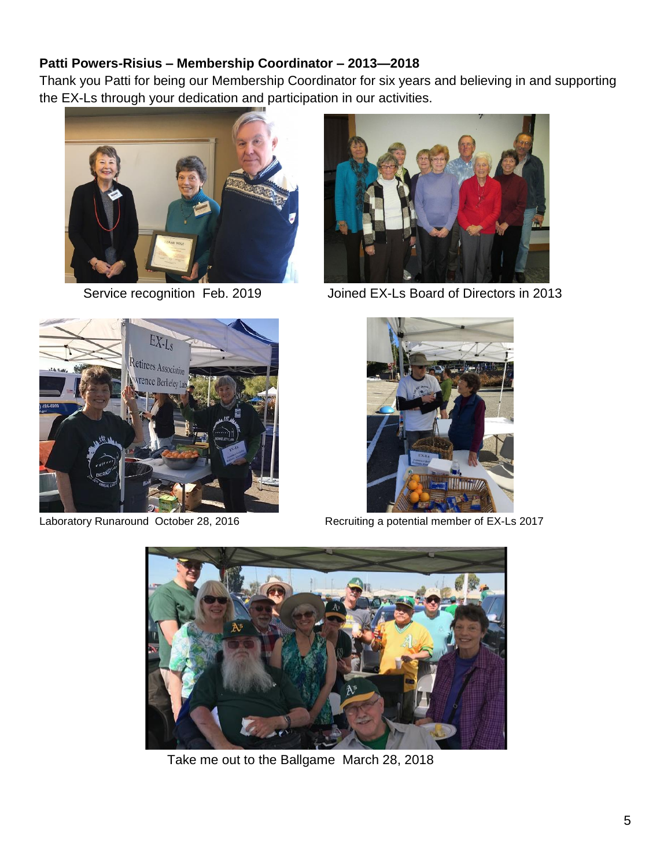## **Patti Powers-Risius – Membership Coordinator – 2013—2018**

Thank you Patti for being our Membership Coordinator for six years and believing in and supporting the EX-Ls through your dedication and participation in our activities.





Service recognition Feb. 2019 Joined EX-Ls Board of Directors in 2013





Laboratory Runaround October 28, 2016 Recruiting a potential member of EX-Ls 2017



Take me out to the Ballgame March 28, 2018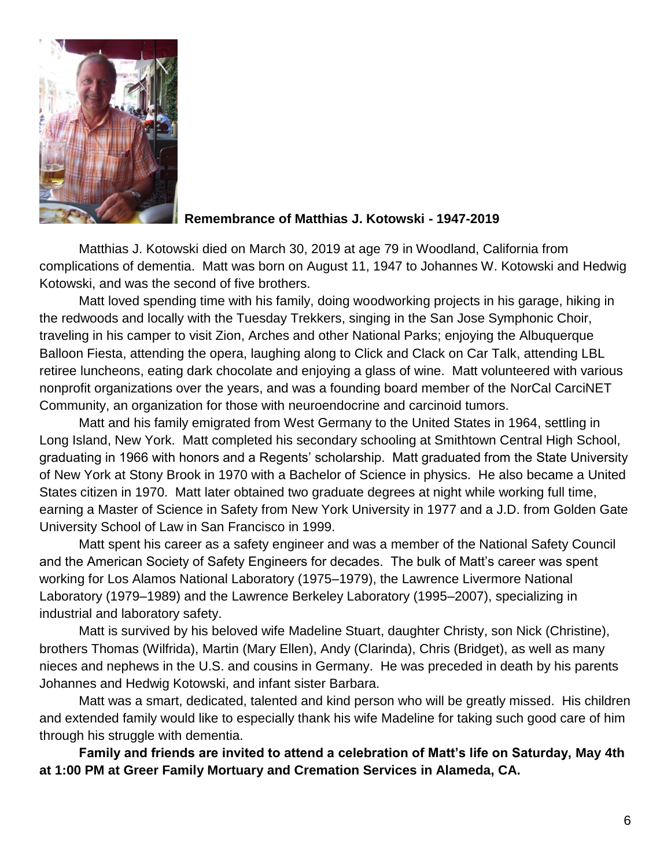

## **Remembrance of Matthias J. Kotowski - 1947-2019**

Matthias J. Kotowski died on March 30, 2019 at age 79 in Woodland, California from complications of dementia. Matt was born on August 11, 1947 to Johannes W. Kotowski and Hedwig Kotowski, and was the second of five brothers.

Matt loved spending time with his family, doing woodworking projects in his garage, hiking in the redwoods and locally with the Tuesday Trekkers, singing in the San Jose Symphonic Choir, traveling in his camper to visit Zion, Arches and other National Parks; enjoying the Albuquerque Balloon Fiesta, attending the opera, laughing along to Click and Clack on Car Talk, attending LBL retiree luncheons, eating dark chocolate and enjoying a glass of wine. Matt volunteered with various nonprofit organizations over the years, and was a founding board member of the NorCal CarciNET Community, an organization for those with neuroendocrine and carcinoid tumors.

Matt and his family emigrated from West Germany to the United States in 1964, settling in Long Island, New York. Matt completed his secondary schooling at Smithtown Central High School, graduating in 1966 with honors and a Regents' scholarship. Matt graduated from the State University of New York at Stony Brook in 1970 with a Bachelor of Science in physics. He also became a United States citizen in 1970. Matt later obtained two graduate degrees at night while working full time, earning a Master of Science in Safety from New York University in 1977 and a J.D. from Golden Gate University School of Law in San Francisco in 1999.

Matt spent his career as a safety engineer and was a member of the National Safety Council and the American Society of Safety Engineers for decades. The bulk of Matt's career was spent working for Los Alamos National Laboratory (1975–1979), the Lawrence Livermore National Laboratory (1979–1989) and the Lawrence Berkeley Laboratory (1995–2007), specializing in industrial and laboratory safety.

Matt is survived by his beloved wife Madeline Stuart, daughter Christy, son Nick (Christine), brothers Thomas (Wilfrida), Martin (Mary Ellen), Andy (Clarinda), Chris (Bridget), as well as many nieces and nephews in the U.S. and cousins in Germany. He was preceded in death by his parents Johannes and Hedwig Kotowski, and infant sister Barbara.

Matt was a smart, dedicated, talented and kind person who will be greatly missed. His children and extended family would like to especially thank his wife Madeline for taking such good care of him through his struggle with dementia.

**Family and friends are invited to attend a celebration of Matt's life on Saturday, May 4th at 1:00 PM at Greer Family Mortuary and Cremation Services in Alameda, CA.**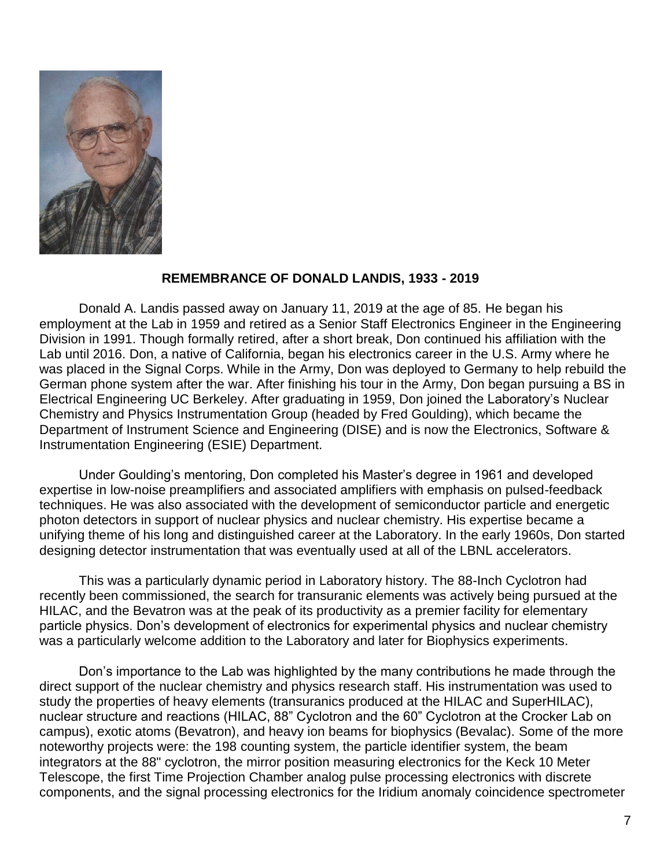

#### **REMEMBRANCE OF DONALD LANDIS, 1933 - 2019**

Donald A. Landis passed away on January 11, 2019 at the age of 85. He began his employment at the Lab in 1959 and retired as a Senior Staff Electronics Engineer in the Engineering Division in 1991. Though formally retired, after a short break, Don continued his affiliation with the Lab until 2016. Don, a native of California, began his electronics career in the U.S. Army where he was placed in the Signal Corps. While in the Army, Don was deployed to Germany to help rebuild the German phone system after the war. After finishing his tour in the Army, Don began pursuing a BS in Electrical Engineering UC Berkeley. After graduating in 1959, Don joined the Laboratory's Nuclear Chemistry and Physics Instrumentation Group (headed by Fred Goulding), which became the Department of Instrument Science and Engineering (DISE) and is now the Electronics, Software & Instrumentation Engineering (ESIE) Department.

Under Goulding's mentoring, Don completed his Master's degree in 1961 and developed expertise in low-noise preamplifiers and associated amplifiers with emphasis on pulsed-feedback techniques. He was also associated with the development of semiconductor particle and energetic photon detectors in support of nuclear physics and nuclear chemistry. His expertise became a unifying theme of his long and distinguished career at the Laboratory. In the early 1960s, Don started designing detector instrumentation that was eventually used at all of the LBNL accelerators.

This was a particularly dynamic period in Laboratory history. The 88-Inch Cyclotron had recently been commissioned, the search for transuranic elements was actively being pursued at the HILAC, and the Bevatron was at the peak of its productivity as a premier facility for elementary particle physics. Don's development of electronics for experimental physics and nuclear chemistry was a particularly welcome addition to the Laboratory and later for Biophysics experiments.

Don's importance to the Lab was highlighted by the many contributions he made through the direct support of the nuclear chemistry and physics research staff. His instrumentation was used to study the properties of heavy elements (transuranics produced at the HILAC and SuperHILAC), nuclear structure and reactions (HILAC, 88" Cyclotron and the 60" Cyclotron at the Crocker Lab on campus), exotic atoms (Bevatron), and heavy ion beams for biophysics (Bevalac). Some of the more noteworthy projects were: the 198 counting system, the particle identifier system, the beam integrators at the 88" cyclotron, the mirror position measuring electronics for the Keck 10 Meter Telescope, the first Time Projection Chamber analog pulse processing electronics with discrete components, and the signal processing electronics for the Iridium anomaly coincidence spectrometer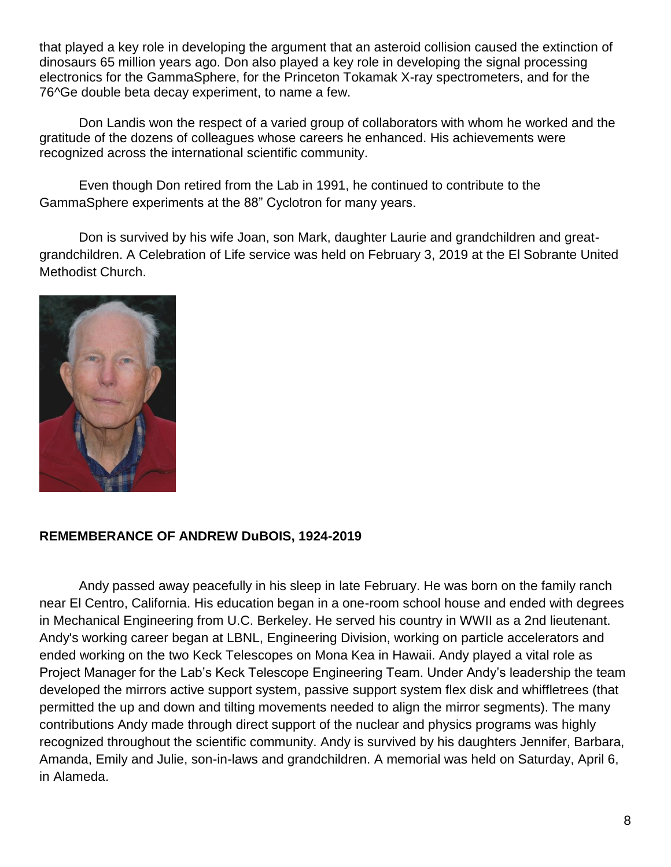that played a key role in developing the argument that an asteroid collision caused the extinction of dinosaurs 65 million years ago. Don also played a key role in developing the signal processing electronics for the GammaSphere, for the Princeton Tokamak X-ray spectrometers, and for the 76^Ge double beta decay experiment, to name a few.

Don Landis won the respect of a varied group of collaborators with whom he worked and the gratitude of the dozens of colleagues whose careers he enhanced. His achievements were recognized across the international scientific community.

Even though Don retired from the Lab in 1991, he continued to contribute to the GammaSphere experiments at the 88" Cyclotron for many years.

Don is survived by his wife Joan, son Mark, daughter Laurie and grandchildren and greatgrandchildren. A Celebration of Life service was held on February 3, 2019 at the El Sobrante United Methodist Church.



## **REMEMBERANCE OF ANDREW DuBOIS, 1924-2019**

Andy passed away peacefully in his sleep in late February. He was born on the family ranch near El Centro, California. His education began in a one-room school house and ended with degrees in Mechanical Engineering from U.C. Berkeley. He served his country in WWII as a 2nd lieutenant. Andy's working career began at LBNL, Engineering Division, working on particle accelerators and ended working on the two Keck Telescopes on Mona Kea in Hawaii. Andy played a vital role as Project Manager for the Lab's Keck Telescope Engineering Team. Under Andy's leadership the team developed the mirrors active support system, passive support system flex disk and whiffletrees (that permitted the up and down and tilting movements needed to align the mirror segments). The many contributions Andy made through direct support of the nuclear and physics programs was highly recognized throughout the scientific community. Andy is survived by his daughters Jennifer, Barbara, Amanda, Emily and Julie, son-in-laws and grandchildren. A memorial was held on Saturday, April 6, in Alameda.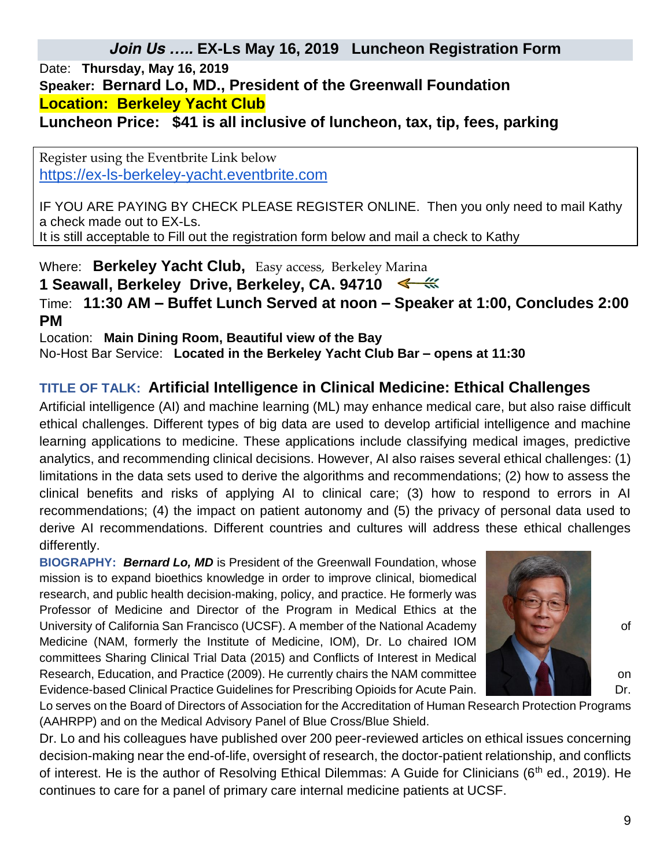# *Date:* **Thursday, May 16, 2019** *Speaker: Bernard Lo, MD., President of the Greenwall Foundation Location: Berkeley Yacht Club Luncheon Price: \$41 is all inclusive of luncheon, tax, tip, fees, parking*

Register using the Eventbrite Link below [https://ex-ls-berkeley-yacht.eventbrite.com](https://ex-ls-berkeley-yacht.eventbrite.com/)

IF YOU ARE PAYING BY CHECK PLEASE REGISTER ONLINE. Then you only need to mail Kathy a check made out to EX-Ls. It is still acceptable to Fill out the registration form below and mail a check to Kathy

*Where:* **Berkeley Yacht Club,** Easy access, Berkeley Marina

1 Seawall, Berkeley Drive, Berkeley, CA. 94710

*Time:* **11:30 AM – Buffet Lunch Served at noon – Speaker at 1:00, Concludes 2:00 PM**

*Location:* **Main Dining Room, Beautiful view of the Bay**  *No-Host Bar Service:* **Located in the Berkeley Yacht Club Bar – opens at 11:30**

# **TITLE OF TALK: Artificial Intelligence in Clinical Medicine: Ethical Challenges**

Artificial intelligence (AI) and machine learning (ML) may enhance medical care, but also raise difficult ethical challenges. Different types of big data are used to develop artificial intelligence and machine learning applications to medicine. These applications include classifying medical images, predictive analytics, and recommending clinical decisions. However, AI also raises several ethical challenges: (1) limitations in the data sets used to derive the algorithms and recommendations; (2) how to assess the clinical benefits and risks of applying AI to clinical care; (3) how to respond to errors in AI recommendations; (4) the impact on patient autonomy and (5) the privacy of personal data used to derive AI recommendations. Different countries and cultures will address these ethical challenges differently.

**BIOGRAPHY:** *Bernard Lo, MD* is President of the Greenwall Foundation, whose mission is to expand bioethics knowledge in order to improve clinical, biomedical research, and public health decision-making, policy, and practice. He formerly was Professor of Medicine and Director of the Program in Medical Ethics at the University of California San Francisco (UCSF). A member of the National Academy **California** Constitutional Academy Medicine (NAM, formerly the Institute of Medicine, IOM), Dr. Lo chaired IOM committees Sharing Clinical Trial Data (2015) and Conflicts of Interest in Medical Research, Education, and Practice (2009). He currently chairs the NAM committee **on the NAM** committee on the on Evidence-based Clinical Practice Guidelines for Prescribing Opioids for Acute Pain. Dr. Dr. Dr.



Lo serves on the Board of Directors of Association for the Accreditation of Human Research Protection Programs (AAHRPP) and on the Medical Advisory Panel of Blue Cross/Blue Shield.

Dr. Lo and his colleagues have published over 200 peer-reviewed articles on ethical issues concerning decision-making near the end-of-life, oversight of research, the doctor-patient relationship, and conflicts of interest. He is the author of Resolving Ethical Dilemmas: A Guide for Clinicians (6<sup>th</sup> ed., 2019). He continues to care for a panel of primary care internal medicine patients at UCSF.